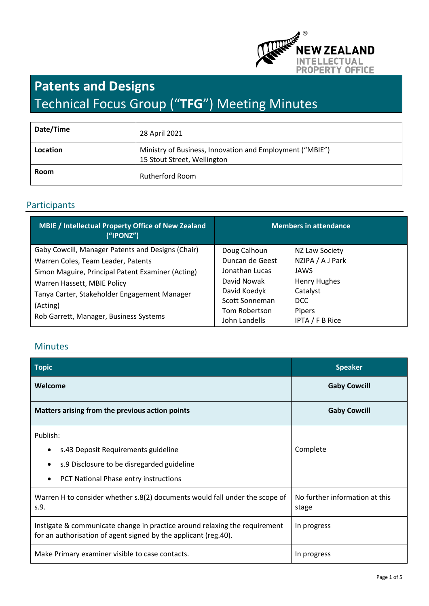

# **Patents and Designs**  Technical Focus Group ("**TFG**") Meeting Minutes

| Date/Time   | 28 April 2021                                                                           |
|-------------|-----------------------------------------------------------------------------------------|
| Location    | Ministry of Business, Innovation and Employment ("MBIE")<br>15 Stout Street, Wellington |
| <b>Room</b> | <b>Rutherford Room</b>                                                                  |

## Participants

| MBIE / Intellectual Property Office of New Zealand<br>("IPONZ") | <b>Members in attendance</b>   |                           |
|-----------------------------------------------------------------|--------------------------------|---------------------------|
| Gaby Cowcill, Manager Patents and Designs (Chair)               | Doug Calhoun                   | NZ Law Society            |
| Warren Coles, Team Leader, Patents                              | Duncan de Geest                | NZIPA / A J Park          |
| Simon Maguire, Principal Patent Examiner (Acting)               | Jonathan Lucas                 | JAWS                      |
| Warren Hassett, MBIE Policy                                     | David Nowak                    | <b>Henry Hughes</b>       |
| Tanya Carter, Stakeholder Engagement Manager                    | David Koedyk                   | Catalyst                  |
| (Acting)                                                        | Scott Sonneman                 | DCC                       |
| Rob Garrett, Manager, Business Systems                          | Tom Robertson<br>John Landells | Pipers<br>IPTA / F B Rice |

### Minutes

| <b>Topic</b>                                                                                                                                  | <b>Speaker</b>                          |  |  |
|-----------------------------------------------------------------------------------------------------------------------------------------------|-----------------------------------------|--|--|
| Welcome                                                                                                                                       | <b>Gaby Cowcill</b>                     |  |  |
| Matters arising from the previous action points                                                                                               | <b>Gaby Cowcill</b>                     |  |  |
| Publish:                                                                                                                                      |                                         |  |  |
| s.43 Deposit Requirements guideline<br>$\bullet$                                                                                              | Complete                                |  |  |
| s.9 Disclosure to be disregarded guideline<br>$\bullet$                                                                                       |                                         |  |  |
| PCT National Phase entry instructions<br>$\bullet$                                                                                            |                                         |  |  |
| Warren H to consider whether s.8(2) documents would fall under the scope of<br>s.9.                                                           | No further information at this<br>stage |  |  |
| Instigate & communicate change in practice around relaxing the requirement<br>for an authorisation of agent signed by the applicant (reg.40). | In progress                             |  |  |
| Make Primary examiner visible to case contacts.                                                                                               | In progress                             |  |  |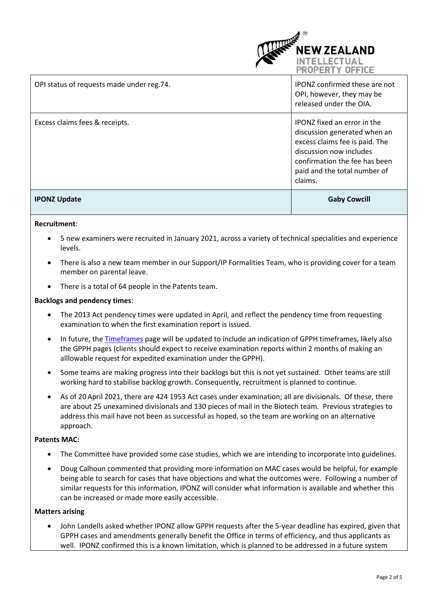

OPI status of requests made under reg.74. In the set of these are not in the latest are not in the of these are not

OPI, however, they may be released under the OIA.

Excess claims fees & receipts. IPONZ fixed an error in the discussion generated when an excess claims fee is paid. The discussion now includes confirmation the fee has been paid and the total number of claims.

**IPONZ Update****Gaby Cowcill** 

#### **Recruitment**:

- 5 new examiners were recruited in January 2021, across a variety of technical specialities and experience levels.
- There is also a new team member in our Support/IP Formalities Team, who is providing cover for a team member on parental leave.
- There is a total of 64 people in the Patents team.

#### **Backlogs and pendency times**:

- The 2013 Act pendency times were updated in April, and reflect the pendency time from requesting examination to when the first examination report is issued.
- In future, th[e Timeframes](https://www.iponz.govt.nz/support/timeframes/) page will be updated to include an indication of GPPH timeframes, likely also the GPPH pages (clients should expect to receive examination reports within 2 months of making an alllowable request for expedited examination under the GPPH).
- Some teams are making progress into their backlogs but this is not yet sustained. Other teams are still working hard to stabilise backlog growth. Consequently, recruitment is planned to continue.
- As of 20 April 2021, there are 424 1953 Act cases under examination; all are divisionals. Of these, there are about 25 unexamined divisionals and 130 pieces of mail in the Biotech team. Previous strategies to address this mail have not been as successful as hoped, so the team are working on an alternative approach.

#### **Patents MAC:**

- The Committee have provided some case studies, which we are intending to incorporate into guidelines.
- Doug Calhoun commented that providing more information on MAC cases would be helpful, for example being able to search for cases that have objections and what the outcomes were. Following a number of similar requests for this information, IPONZ will consider what information is available and whether this can be increased or made more easily accessible.

#### **Matters arising**

 John Landells asked whether IPONZ allow GPPH requests after the 5-year deadline has expired, given that GPPH cases and amendments generally benefit the Office in terms of efficiency, and thus applicants as well. IPONZ confirmed this is a known limitation, which is planned to be addressed in a future system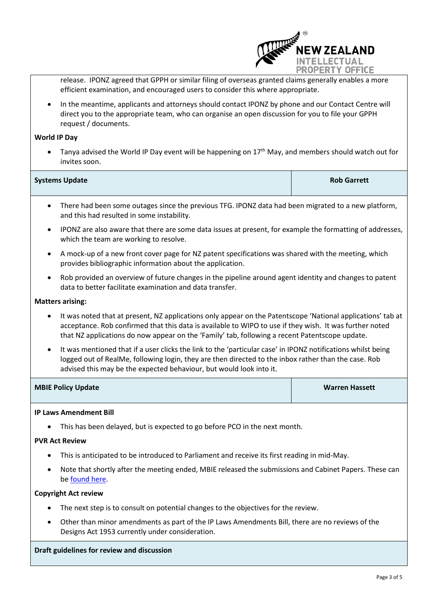release. IPONZ agreed that GPPH or similar filing of overseas granted claims generally enables a more efficient examination, and encouraged users to consider this where appropriate.

**W ZEALAND** 

**NTELLECTUAL PROPERTY OFFICE** 

 In the meantime, applicants and attorneys should contact IPONZ by phone and our Contact Centre will direct you to the appropriate team, who can organise an open discussion for you to file your GPPH request / documents.

#### **World IP Day**

Tanya advised the World IP Day event will be happening on  $17<sup>th</sup>$  May, and members should watch out for invites soon.

| <b>Systems Update</b> | <b>Rob Garrett</b> |
|-----------------------|--------------------|
|-----------------------|--------------------|

- There had been some outages since the previous TFG. IPONZ data had been migrated to a new platform, and this had resulted in some instability.
- IPONZ are also aware that there are some data issues at present, for example the formatting of addresses, which the team are working to resolve.
- A mock-up of a new front cover page for NZ patent specifications was shared with the meeting, which provides bibliographic information about the application.
- Rob provided an overview of future changes in the pipeline around agent identity and changes to patent data to better facilitate examination and data transfer.

#### **Matters arising:**

- It was noted that at present, NZ applications only appear on the Patentscope 'National applications' tab at acceptance. Rob confirmed that this data is available to WIPO to use if they wish. It was further noted that NZ applications do now appear on the 'Family' tab, following a recent Patentscope update.
- It was mentioned that if a user clicks the link to the 'particular case' in IPONZ notifications whilst being logged out of RealMe, following login, they are then directed to the inbox rather than the case. Rob advised this may be the expected behaviour, but would look into it.

| <b>MBIE Policy Update</b> | <b>Warren Hassett</b> |
|---------------------------|-----------------------|
|---------------------------|-----------------------|

#### **IP Laws Amendment Bill**

• This has been delayed, but is expected to go before PCO in the next month.

#### **PVR Act Review**

- This is anticipated to be introduced to Parliament and receive its first reading in mid-May.
- Note that shortly after the meeting ended, MBIE released the submissions and Cabinet Papers. These can b[e found here.](https://www.mbie.govt.nz/business-and-employment/business/intellectual-property/plant-variety-rights/plant-variety-rights-act-review/background-to-the-plant-variety-rights-act-review/)

#### **Copyright Act review**

- The next step is to consult on potential changes to the objectives for the review.
- Other than minor amendments as part of the IP Laws Amendments Bill, there are no reviews of the Designs Act 1953 currently under consideration.

#### **Draft guidelines for review and discussion**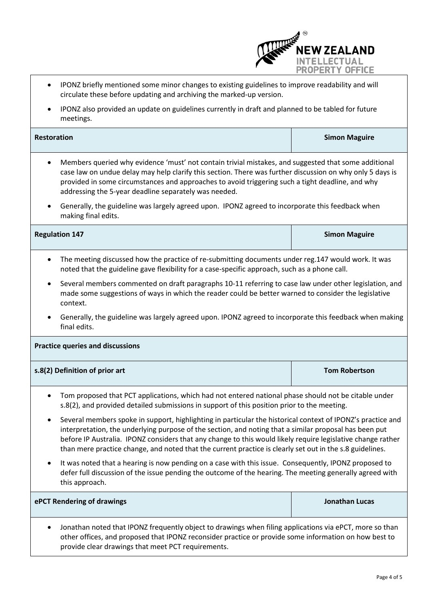- **W ZEALAND TELLECTUAL PROPERTY OFFICE**  IPONZ briefly mentioned some minor changes to existing guidelines to improve readability and will circulate these before updating and archiving the marked-up version. IPONZ also provided an update on guidelines currently in draft and planned to be tabled for future meetings. **Restoration Simon Maguire** 
	- Members queried why evidence 'must' not contain trivial mistakes, and suggested that some additional case law on undue delay may help clarify this section. There was further discussion on why only 5 days is provided in some circumstances and approaches to avoid triggering such a tight deadline, and why addressing the 5-year deadline separately was needed.
	- Generally, the guideline was largely agreed upon. IPONZ agreed to incorporate this feedback when making final edits.

#### **Regulation 147 Simon Maguire**

- The meeting discussed how the practice of re-submitting documents under reg.147 would work. It was noted that the guideline gave flexibility for a case-specific approach, such as a phone call.
- Several members commented on draft paragraphs 10-11 referring to case law under other legislation, and made some suggestions of ways in which the reader could be better warned to consider the legislative context.
- Generally, the guideline was largely agreed upon. IPONZ agreed to incorporate this feedback when making final edits.

#### **Practice queries and discussions**

| s.8(2) Definition of prior art | <b>Tom Robertson</b> |
|--------------------------------|----------------------|
|--------------------------------|----------------------|

- Tom proposed that PCT applications, which had not entered national phase should not be citable under s.8(2), and provided detailed submissions in support of this position prior to the meeting.
- Several members spoke in support, highlighting in particular the historical context of IPONZ's practice and interpretation, the underlying purpose of the section, and noting that a similar proposal has been put before IP Australia. IPONZ considers that any change to this would likely require legislative change rather than mere practice change, and noted that the current practice is clearly set out in the s.8 guidelines.
- It was noted that a hearing is now pending on a case with this issue. Consequently, IPONZ proposed to defer full discussion of the issue pending the outcome of the hearing. The meeting generally agreed with this approach.

# **ePCT Rendering of drawings Jonathan Lucas**

 Jonathan noted that IPONZ frequently object to drawings when filing applications via ePCT, more so than other offices, and proposed that IPONZ reconsider practice or provide some information on how best to provide clear drawings that meet PCT requirements.